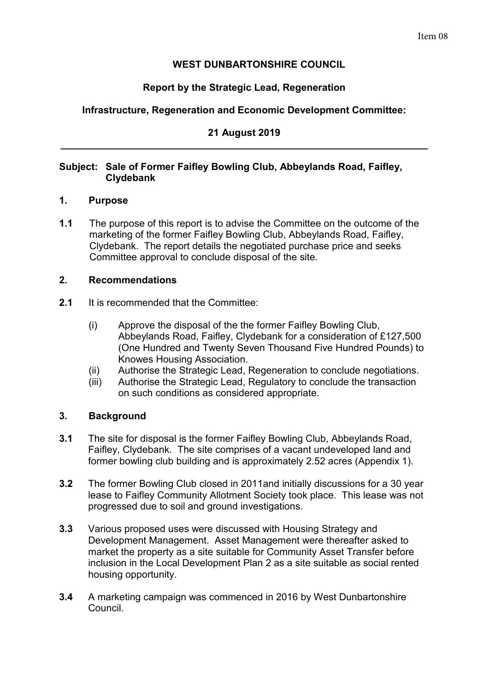# **WEST DUNBARTONSHIRE COUNCIL**

# **Report by the Strategic Lead, Regeneration**

# **Infrastructure, Regeneration and Economic Development Committee:**

## **21 August 2019 \_\_\_\_\_\_\_\_\_\_\_\_\_\_\_\_\_\_\_\_\_\_\_\_\_\_\_\_\_\_\_\_\_\_\_\_\_\_\_\_\_\_\_\_\_\_\_\_\_\_\_\_\_\_\_\_\_\_\_\_\_\_\_\_\_\_\_**

## **Subject: Sale of Former Faifley Bowling Club, Abbeylands Road, Faifley, Clydebank**

#### **1. Purpose**

**1.1** The purpose of this report is to advise the Committee on the outcome of the marketing of the former Faifley Bowling Club, Abbeylands Road, Faifley, Clydebank. The report details the negotiated purchase price and seeks Committee approval to conclude disposal of the site.

## **2. Recommendations**

- **2.1** It is recommended that the Committee:
	- (i) Approve the disposal of the the former Faifley Bowling Club, Abbeylands Road, Faifley, Clydebank for a consideration of £127,500 (One Hundred and Twenty Seven Thousand Five Hundred Pounds) to Knowes Housing Association.
	- (ii) Authorise the Strategic Lead, Regeneration to conclude negotiations.
	- (iii) Authorise the Strategic Lead, Regulatory to conclude the transaction on such conditions as considered appropriate.

## **3. Background**

- **3.1** The site for disposal is the former Faifley Bowling Club, Abbeylands Road, Faifley, Clydebank. The site comprises of a vacant undeveloped land and former bowling club building and is approximately 2.52 acres (Appendix 1).
- **3.2** The former Bowling Club closed in 2011and initially discussions for a 30 year lease to Faifley Community Allotment Society took place. This lease was not progressed due to soil and ground investigations.
- **3.3** Various proposed uses were discussed with Housing Strategy and Development Management. Asset Management were thereafter asked to market the property as a site suitable for Community Asset Transfer before inclusion in the Local Development Plan 2 as a site suitable as social rented housing opportunity.
- **3.4** A marketing campaign was commenced in 2016 by West Dunbartonshire Council.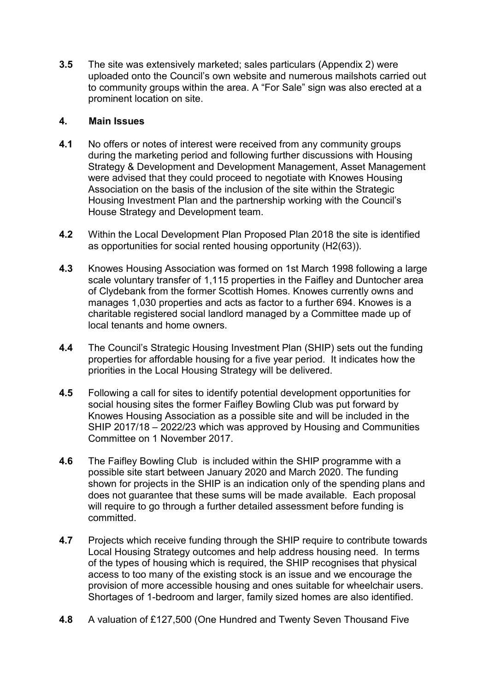**3.5** The site was extensively marketed; sales particulars (Appendix 2) were uploaded onto the Council's own website and numerous mailshots carried out to community groups within the area. A "For Sale" sign was also erected at a prominent location on site.

## **4. Main Issues**

- **4.1** No offers or notes of interest were received from any community groups during the marketing period and following further discussions with Housing Strategy & Development and Development Management, Asset Management were advised that they could proceed to negotiate with Knowes Housing Association on the basis of the inclusion of the site within the Strategic Housing Investment Plan and the partnership working with the Council's House Strategy and Development team.
- **4.2** Within the Local Development Plan Proposed Plan 2018 the site is identified as opportunities for social rented housing opportunity (H2(63)).
- **4.3** Knowes Housing Association was formed on 1st March 1998 following a large scale voluntary transfer of 1,115 properties in the Faifley and Duntocher area of Clydebank from the former Scottish Homes. Knowes currently owns and manages 1,030 properties and acts as factor to a further 694. Knowes is a charitable registered social landlord managed by a Committee made up of local tenants and home owners.
- **4.4** The Council's Strategic Housing Investment Plan (SHIP) sets out the funding properties for affordable housing for a five year period. It indicates how the priorities in the Local Housing Strategy will be delivered.
- **4.5** Following a call for sites to identify potential development opportunities for social housing sites the former Faifley Bowling Club was put forward by Knowes Housing Association as a possible site and will be included in the SHIP 2017/18 – 2022/23 which was approved by Housing and Communities Committee on 1 November 2017.
- **4.6** The Faifley Bowling Club is included within the SHIP programme with a possible site start between January 2020 and March 2020. The funding shown for projects in the SHIP is an indication only of the spending plans and does not guarantee that these sums will be made available. Each proposal will require to go through a further detailed assessment before funding is committed.
- **4.7** Projects which receive funding through the SHIP require to contribute towards Local Housing Strategy outcomes and help address housing need. In terms of the types of housing which is required, the SHIP recognises that physical access to too many of the existing stock is an issue and we encourage the provision of more accessible housing and ones suitable for wheelchair users. Shortages of 1-bedroom and larger, family sized homes are also identified.
- **4.8** A valuation of £127,500 (One Hundred and Twenty Seven Thousand Five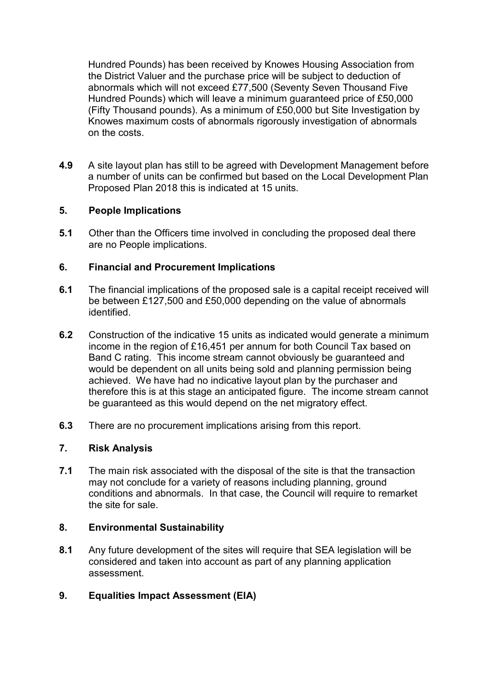Hundred Pounds) has been received by Knowes Housing Association from the District Valuer and the purchase price will be subject to deduction of abnormals which will not exceed £77,500 (Seventy Seven Thousand Five Hundred Pounds) which will leave a minimum guaranteed price of £50,000 (Fifty Thousand pounds). As a minimum of £50,000 but Site Investigation by Knowes maximum costs of abnormals rigorously investigation of abnormals on the costs.

**4.9** A site layout plan has still to be agreed with Development Management before a number of units can be confirmed but based on the Local Development Plan Proposed Plan 2018 this is indicated at 15 units.

## **5. People Implications**

**5.1** Other than the Officers time involved in concluding the proposed deal there are no People implications.

## **6. Financial and Procurement Implications**

- **6.1** The financial implications of the proposed sale is a capital receipt received will be between £127,500 and £50,000 depending on the value of abnormals identified.
- **6.2** Construction of the indicative 15 units as indicated would generate a minimum income in the region of £16,451 per annum for both Council Tax based on Band C rating. This income stream cannot obviously be guaranteed and would be dependent on all units being sold and planning permission being achieved. We have had no indicative layout plan by the purchaser and therefore this is at this stage an anticipated figure. The income stream cannot be guaranteed as this would depend on the net migratory effect.
- **6.3** There are no procurement implications arising from this report.

## **7. Risk Analysis**

**7.1** The main risk associated with the disposal of the site is that the transaction may not conclude for a variety of reasons including planning, ground conditions and abnormals. In that case, the Council will require to remarket the site for sale.

## **8. Environmental Sustainability**

**8.1** Any future development of the sites will require that SEA legislation will be considered and taken into account as part of any planning application assessment.

# **9. Equalities Impact Assessment (EIA)**